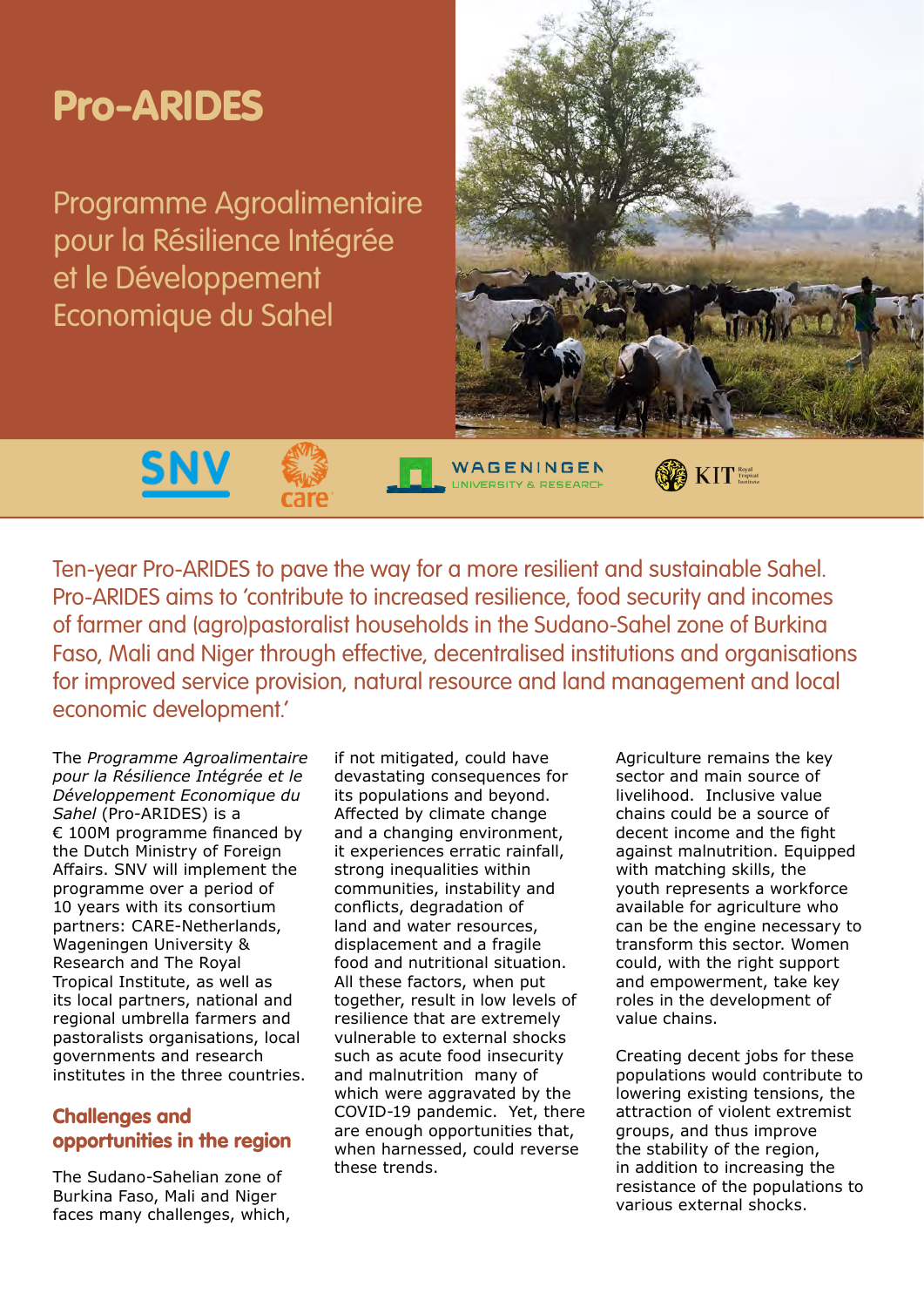

Ten-year Pro-ARIDES to pave the way for a more resilient and sustainable Sahel. Pro-ARIDES aims to 'contribute to increased resilience, food security and incomes of farmer and (agro)pastoralist households in the Sudano-Sahel zone of Burkina Faso, Mali and Niger through effective, decentralised institutions and organisations for improved service provision, natural resource and land management and local economic development.'

The *Programme Agroalimentaire pour la Résilience Intégrée et le Développement Economique du Sahel* (Pro-ARIDES) is a € 100M programme financed by the Dutch Ministry of Foreign Affairs. SNV will implement the programme over a period of 10 years with its consortium partners: CARE-Netherlands, Wageningen University & Research and The Royal Tropical Institute, as well as its local partners, national and regional umbrella farmers and pastoralists organisations, local governments and research institutes in the three countries.

# Challenges and opportunities in the region

The Sudano-Sahelian zone of Burkina Faso, Mali and Niger faces many challenges, which, if not mitigated, could have devastating consequences for its populations and beyond. Affected by climate change and a changing environment, it experiences erratic rainfall, strong inequalities within communities, instability and conflicts, degradation of land and water resources, displacement and a fragile food and nutritional situation. All these factors, when put together, result in low levels of resilience that are extremely vulnerable to external shocks such as acute food insecurity and malnutrition many of which were aggravated by the COVID-19 pandemic. Yet, there are enough opportunities that, when harnessed, could reverse these trends.

Agriculture remains the key sector and main source of livelihood. Inclusive value chains could be a source of decent income and the fight against malnutrition. Equipped with matching skills, the youth represents a workforce available for agriculture who can be the engine necessary to transform this sector. Women could, with the right support and empowerment, take key roles in the development of value chains.

Creating decent jobs for these populations would contribute to lowering existing tensions, the attraction of violent extremist groups, and thus improve the stability of the region, in addition to increasing the resistance of the populations to various external shocks.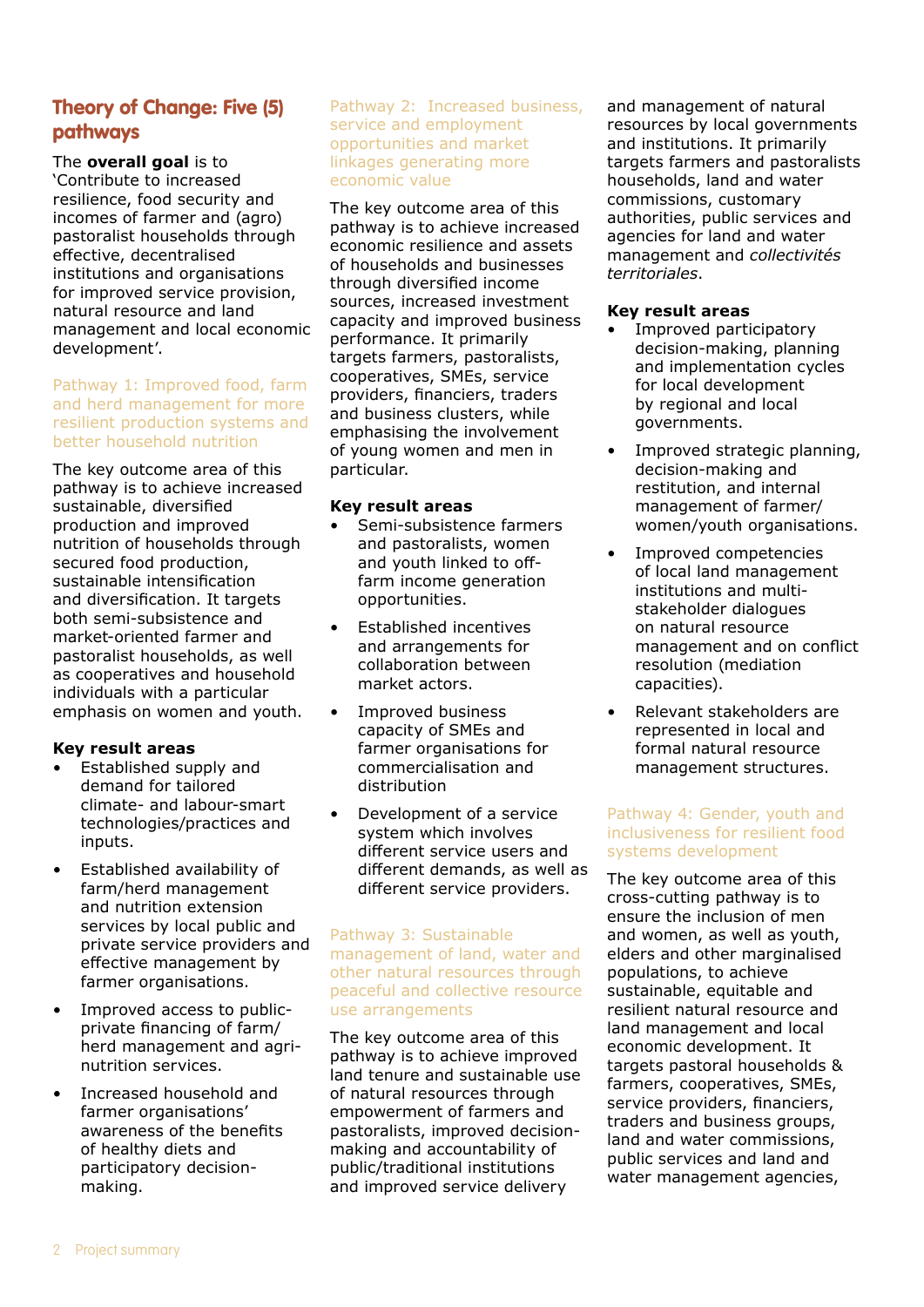# Theory of Change: Five (5) pathways

The **overall goal** is to 'Contribute to increased resilience, food security and incomes of farmer and (agro) pastoralist households through effective, decentralised institutions and organisations for improved service provision, natural resource and land management and local economic development'.

#### Pathway 1: Improved food, farm and herd management for more resilient production systems and better household nutrition

The key outcome area of this pathway is to achieve increased sustainable, diversified production and improved nutrition of households through secured food production, sustainable intensification and diversification. It targets both semi-subsistence and market-oriented farmer and pastoralist households, as well as cooperatives and household individuals with a particular emphasis on women and youth.

## **Key result areas**

- Established supply and demand for tailored climate- and labour-smart technologies/practices and inputs.
- Established availability of farm/herd management and nutrition extension services by local public and private service providers and effective management by farmer organisations.
- Improved access to publicprivate financing of farm/ herd management and agrinutrition services.
- Increased household and farmer organisations' awareness of the benefits of healthy diets and participatory decisionmaking.

#### Pathway 2: Increased business, service and employment opportunities and market linkages generating more economic value

The key outcome area of this pathway is to achieve increased economic resilience and assets of households and businesses through diversified income sources, increased investment capacity and improved business performance. It primarily targets farmers, pastoralists, cooperatives, SMEs, service providers, financiers, traders and business clusters, while emphasising the involvement of young women and men in particular.

## **Key result areas**

- Semi-subsistence farmers and pastoralists, women and youth linked to offfarm income generation opportunities.
- Established incentives and arrangements for collaboration between market actors.
- Improved business capacity of SMEs and farmer organisations for commercialisation and distribution
- Development of a service system which involves different service users and different demands, as well as different service providers.

### Pathway 3: Sustainable management of land, water and other natural resources through peaceful and collective resource use arrangements

The key outcome area of this pathway is to achieve improved land tenure and sustainable use of natural resources through empowerment of farmers and pastoralists, improved decisionmaking and accountability of public/traditional institutions and improved service delivery

and management of natural resources by local governments and institutions. It primarily targets farmers and pastoralists households, land and water commissions, customary authorities, public services and agencies for land and water management and *collectivités territoriales*.

# **Key result areas**

- Improved participatory decision-making, planning and implementation cycles for local development by regional and local governments.
- Improved strategic planning, decision-making and restitution, and internal management of farmer/ women/youth organisations.
- Improved competencies of local land management institutions and multistakeholder dialogues on natural resource management and on conflict resolution (mediation capacities).
- Relevant stakeholders are represented in local and formal natural resource management structures.

## Pathway 4: Gender, youth and inclusiveness for resilient food systems development

The key outcome area of this cross-cutting pathway is to ensure the inclusion of men and women, as well as youth, elders and other marginalised populations, to achieve sustainable, equitable and resilient natural resource and land management and local economic development. It targets pastoral households & farmers, cooperatives, SMEs, service providers, financiers, traders and business groups, land and water commissions, public services and land and water management agencies,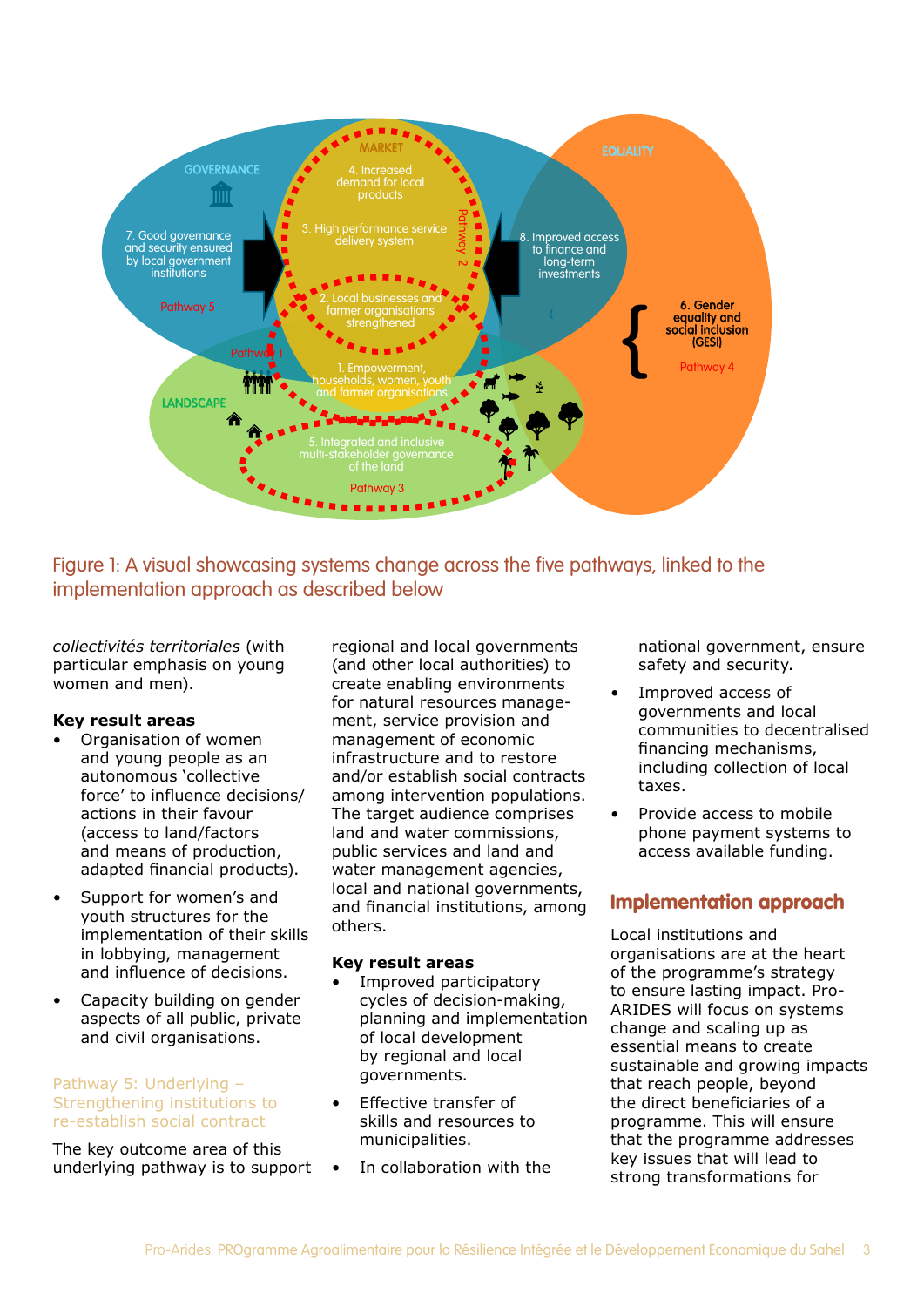

Figure 1: A visual showcasing systems change across the five pathways, linked to the implementation approach as described below

*collectivités territoriales* (with particular emphasis on young women and men).

### **Key result areas**

- Organisation of women and young people as an autonomous 'collective force' to influence decisions/ actions in their favour (access to land/factors and means of production, adapted financial products).
- Support for women's and youth structures for the implementation of their skills in lobbying, management and influence of decisions.
- Capacity building on gender aspects of all public, private and civil organisations.

### Pathway 5: Underlying – Strengthening institutions to re-establish social contract

The key outcome area of this underlying pathway is to support

regional and local governments (and other local authorities) to create enabling environments for natural resources management, service provision and management of economic infrastructure and to restore and/or establish social contracts among intervention populations. The target audience comprises land and water commissions, public services and land and water management agencies, local and national governments, and financial institutions, among others.

### **Key result areas**

- Improved participatory cycles of decision-making, planning and implementation of local development by regional and local governments.
- Effective transfer of skills and resources to municipalities.
- In collaboration with the

national government, ensure safety and security.

- Improved access of governments and local communities to decentralised financing mechanisms, including collection of local taxes.
- Provide access to mobile phone payment systems to access available funding.

# Implementation approach

Local institutions and organisations are at the heart of the programme's strategy to ensure lasting impact. Pro-ARIDES will focus on systems change and scaling up as essential means to create sustainable and growing impacts that reach people, beyond the direct beneficiaries of a programme. This will ensure that the programme addresses key issues that will lead to strong transformations for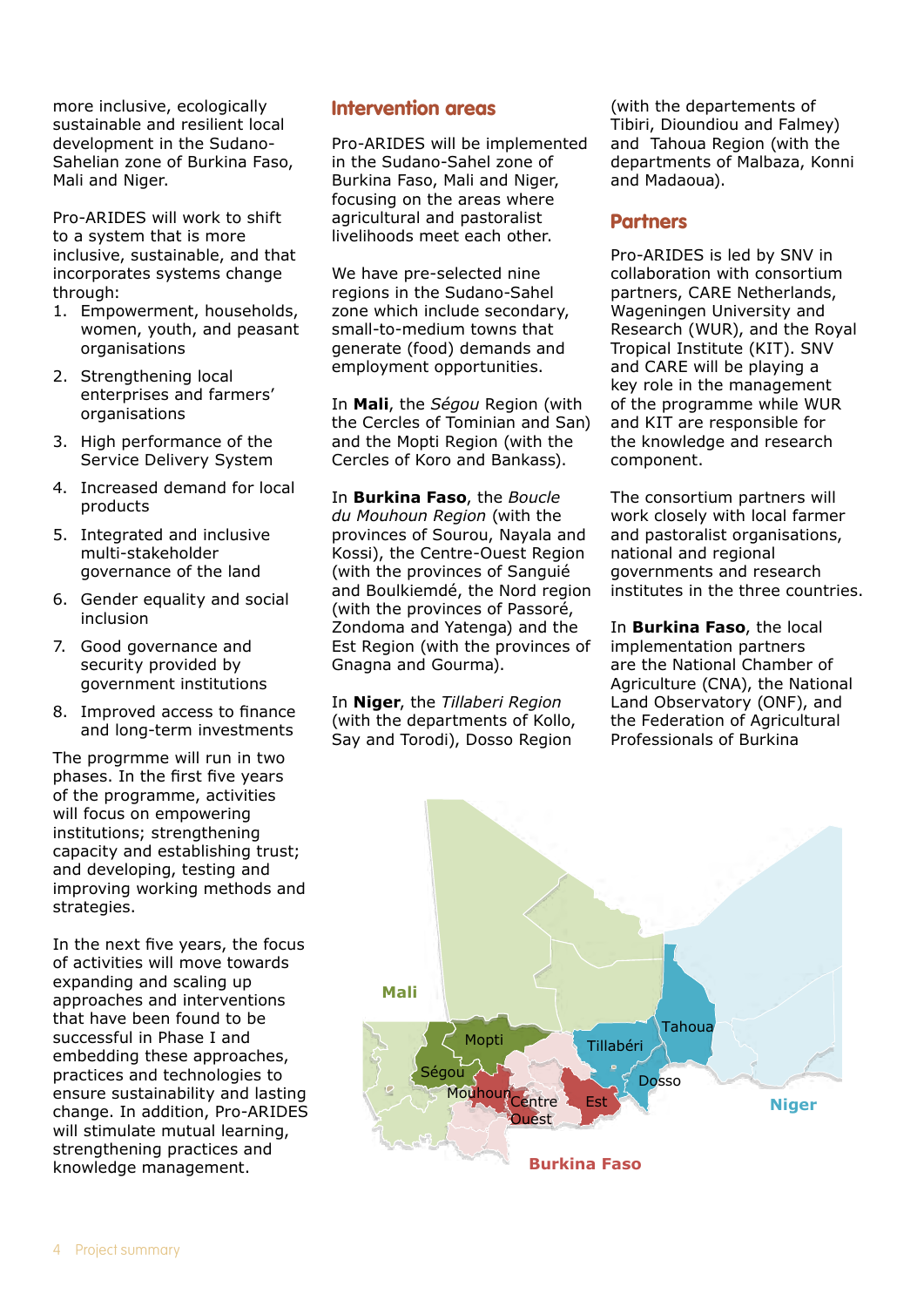more inclusive, ecologically sustainable and resilient local development in the Sudano-Sahelian zone of Burkina Faso, Mali and Niger.

Pro-ARIDES will work to shift to a system that is more inclusive, sustainable, and that incorporates systems change through:

- 1. Empowerment, households, women, youth, and peasant organisations
- 2. Strengthening local enterprises and farmers' organisations
- 3. High performance of the Service Delivery System
- 4. Increased demand for local products
- 5. Integrated and inclusive multi-stakeholder governance of the land
- 6. Gender equality and social inclusion
- 7. Good governance and security provided by government institutions
- 8. Improved access to finance and long-term investments

The progrmme will run in two phases. In the first five years of the programme, activities will focus on empowering institutions; strengthening capacity and establishing trust; and developing, testing and improving working methods and strategies.

In the next five years, the focus of activities will move towards expanding and scaling up approaches and interventions that have been found to be successful in Phase I and embedding these approaches, practices and technologies to ensure sustainability and lasting change. In addition, Pro-ARIDES will stimulate mutual learning, strengthening practices and knowledge management.

# Intervention areas

Pro-ARIDES will be implemented in the Sudano-Sahel zone of Burkina Faso, Mali and Niger, focusing on the areas where agricultural and pastoralist livelihoods meet each other.

We have pre-selected nine regions in the Sudano-Sahel zone which include secondary, small-to-medium towns that generate (food) demands and employment opportunities.

In **Mali**, the *Ségou* Region (with the Cercles of Tominian and San) and the Mopti Region (with the Cercles of Koro and Bankass).

In **Burkina Faso**, the *Boucle du Mouhoun Region* (with the provinces of Sourou, Nayala and Kossi), the Centre-Ouest Region (with the provinces of Sanguié and Boulkiemdé, the Nord region (with the provinces of Passoré, Zondoma and Yatenga) and the Est Region (with the provinces of Gnagna and Gourma).

In **Niger**, the *Tillaberi Region*  (with the departments of Kollo, Say and Torodi), Dosso Region

(with the departements of Tibiri, Dioundiou and Falmey) and Tahoua Region (with the departments of Malbaza, Konni and Madaoua).

# Partners

Pro-ARIDES is led by SNV in collaboration with consortium partners, CARE Netherlands, Wageningen University and Research (WUR), and the Royal Tropical Institute (KIT). SNV and CARE will be playing a key role in the management of the programme while WUR and KIT are responsible for the knowledge and research component.

The consortium partners will work closely with local farmer and pastoralist organisations, national and regional governments and research institutes in the three countries.

In **Burkina Faso**, the local implementation partners are the National Chamber of Agriculture (CNA), the National Land Observatory (ONF), and the Federation of Agricultural Professionals of Burkina